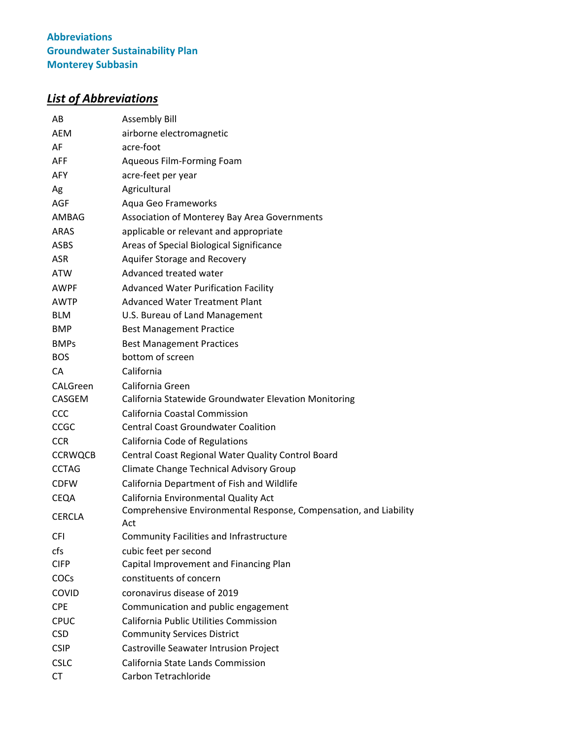# *List of Abbreviations*

| AB             | <b>Assembly Bill</b>                                                     |  |
|----------------|--------------------------------------------------------------------------|--|
| <b>AEM</b>     | airborne electromagnetic                                                 |  |
| AF             | acre-foot                                                                |  |
| <b>AFF</b>     | Aqueous Film-Forming Foam                                                |  |
| <b>AFY</b>     | acre-feet per year                                                       |  |
| Ag             | Agricultural                                                             |  |
| <b>AGF</b>     | Aqua Geo Frameworks                                                      |  |
| AMBAG          | Association of Monterey Bay Area Governments                             |  |
| ARAS           | applicable or relevant and appropriate                                   |  |
| <b>ASBS</b>    | Areas of Special Biological Significance                                 |  |
| <b>ASR</b>     | Aquifer Storage and Recovery                                             |  |
| <b>ATW</b>     | Advanced treated water                                                   |  |
| AWPF           | <b>Advanced Water Purification Facility</b>                              |  |
| AWTP           | <b>Advanced Water Treatment Plant</b>                                    |  |
| <b>BLM</b>     | U.S. Bureau of Land Management                                           |  |
| <b>BMP</b>     | <b>Best Management Practice</b>                                          |  |
| <b>BMPs</b>    | <b>Best Management Practices</b>                                         |  |
| <b>BOS</b>     | bottom of screen                                                         |  |
| CА             | California                                                               |  |
| CALGreen       | California Green                                                         |  |
| <b>CASGEM</b>  | California Statewide Groundwater Elevation Monitoring                    |  |
| <b>CCC</b>     | California Coastal Commission                                            |  |
| <b>CCGC</b>    | <b>Central Coast Groundwater Coalition</b>                               |  |
| <b>CCR</b>     | California Code of Regulations                                           |  |
| <b>CCRWQCB</b> | Central Coast Regional Water Quality Control Board                       |  |
| <b>CCTAG</b>   | Climate Change Technical Advisory Group                                  |  |
| <b>CDFW</b>    | California Department of Fish and Wildlife                               |  |
| CEQA           | California Environmental Quality Act                                     |  |
| <b>CERCLA</b>  | Comprehensive Environmental Response, Compensation, and Liability<br>Act |  |
| <b>CFI</b>     | <b>Community Facilities and Infrastructure</b>                           |  |
| cfs            | cubic feet per second                                                    |  |
| <b>CIFP</b>    | Capital Improvement and Financing Plan                                   |  |
| COCs           | constituents of concern                                                  |  |
| <b>COVID</b>   | coronavirus disease of 2019                                              |  |
| <b>CPE</b>     | Communication and public engagement                                      |  |
| <b>CPUC</b>    | <b>California Public Utilities Commission</b>                            |  |
| <b>CSD</b>     | <b>Community Services District</b>                                       |  |
| <b>CSIP</b>    | Castroville Seawater Intrusion Project                                   |  |
| <b>CSLC</b>    | California State Lands Commission                                        |  |
| <b>CT</b>      | Carbon Tetrachloride                                                     |  |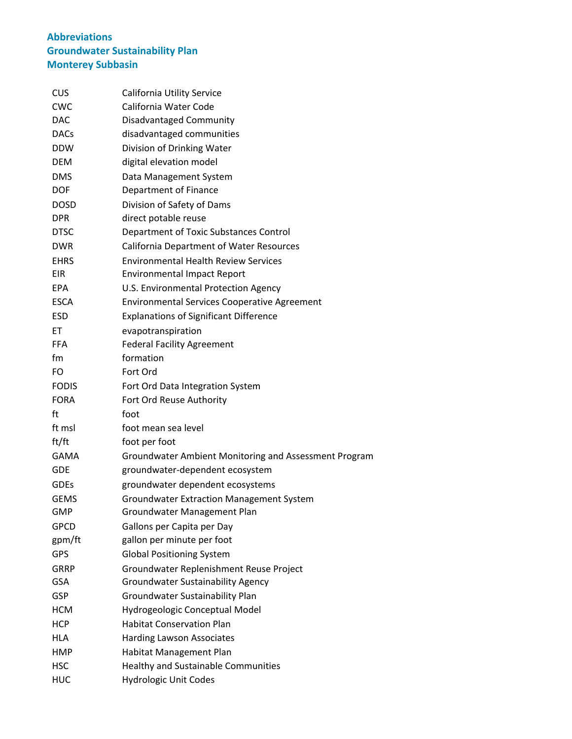| <b>CUS</b>   | California Utility Service                            |
|--------------|-------------------------------------------------------|
| <b>CWC</b>   | California Water Code                                 |
| <b>DAC</b>   | Disadvantaged Community                               |
| <b>DACs</b>  | disadvantaged communities                             |
| <b>DDW</b>   | Division of Drinking Water                            |
| <b>DEM</b>   | digital elevation model                               |
| <b>DMS</b>   | Data Management System                                |
| <b>DOF</b>   | Department of Finance                                 |
| <b>DOSD</b>  | Division of Safety of Dams                            |
| <b>DPR</b>   | direct potable reuse                                  |
| <b>DTSC</b>  | Department of Toxic Substances Control                |
| <b>DWR</b>   | <b>California Department of Water Resources</b>       |
| <b>EHRS</b>  | <b>Environmental Health Review Services</b>           |
| <b>EIR</b>   | <b>Environmental Impact Report</b>                    |
| <b>EPA</b>   | U.S. Environmental Protection Agency                  |
| <b>ESCA</b>  | <b>Environmental Services Cooperative Agreement</b>   |
| <b>ESD</b>   | <b>Explanations of Significant Difference</b>         |
| EТ           | evapotranspiration                                    |
| <b>FFA</b>   | <b>Federal Facility Agreement</b>                     |
| fm           | formation                                             |
| FO           | Fort Ord                                              |
| <b>FODIS</b> | Fort Ord Data Integration System                      |
| <b>FORA</b>  | Fort Ord Reuse Authority                              |
| ft           | foot                                                  |
| ft msl       | foot mean sea level                                   |
| ft/ft        | foot per foot                                         |
| GAMA         | Groundwater Ambient Monitoring and Assessment Program |
| <b>GDE</b>   | groundwater-dependent ecosystem                       |
| <b>GDEs</b>  | groundwater dependent ecosystems                      |
| <b>GEMS</b>  | <b>Groundwater Extraction Management System</b>       |
| GMP          | Groundwater Management Plan                           |
| <b>GPCD</b>  | Gallons per Capita per Day                            |
| gpm/ft       | gallon per minute per foot                            |
| GPS          | <b>Global Positioning System</b>                      |
| <b>GRRP</b>  | Groundwater Replenishment Reuse Project               |
| <b>GSA</b>   | <b>Groundwater Sustainability Agency</b>              |
| <b>GSP</b>   | Groundwater Sustainability Plan                       |
| <b>HCM</b>   | Hydrogeologic Conceptual Model                        |
| <b>HCP</b>   | <b>Habitat Conservation Plan</b>                      |
| HLA          | <b>Harding Lawson Associates</b>                      |
| <b>HMP</b>   | Habitat Management Plan                               |
| <b>HSC</b>   | Healthy and Sustainable Communities                   |
| <b>HUC</b>   | Hydrologic Unit Codes                                 |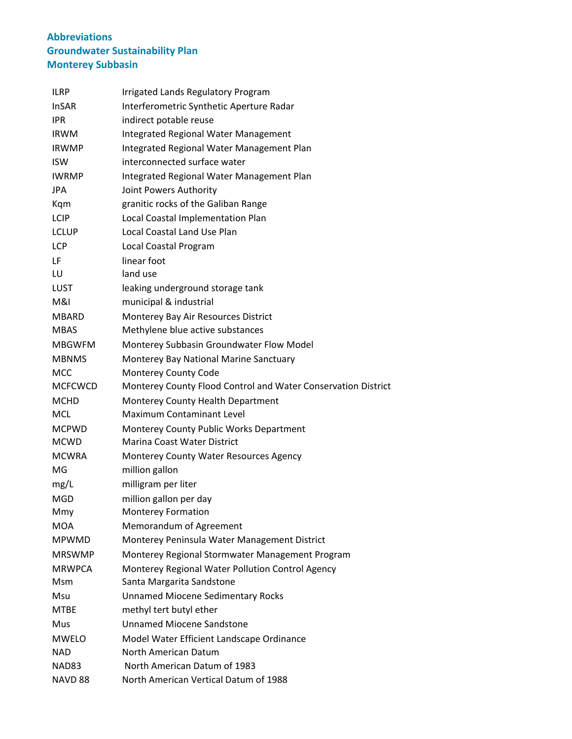| <b>ILRP</b>       | <b>Irrigated Lands Regulatory Program</b>                     |
|-------------------|---------------------------------------------------------------|
| <b>InSAR</b>      | Interferometric Synthetic Aperture Radar                      |
| <b>IPR</b>        | indirect potable reuse                                        |
| <b>IRWM</b>       | Integrated Regional Water Management                          |
| <b>IRWMP</b>      | Integrated Regional Water Management Plan                     |
| <b>ISW</b>        | interconnected surface water                                  |
| <b>IWRMP</b>      | Integrated Regional Water Management Plan                     |
| <b>JPA</b>        | Joint Powers Authority                                        |
| Kqm               | granitic rocks of the Galiban Range                           |
| <b>LCIP</b>       | Local Coastal Implementation Plan                             |
| <b>LCLUP</b>      | <b>Local Coastal Land Use Plan</b>                            |
| <b>LCP</b>        | Local Coastal Program                                         |
| LF                | linear foot                                                   |
| LU                | land use                                                      |
| <b>LUST</b>       | leaking underground storage tank                              |
| M&I               | municipal & industrial                                        |
| MBARD             | Monterey Bay Air Resources District                           |
| <b>MBAS</b>       | Methylene blue active substances                              |
| <b>MBGWFM</b>     | Monterey Subbasin Groundwater Flow Model                      |
| <b>MBNMS</b>      | Monterey Bay National Marine Sanctuary                        |
| <b>MCC</b>        | Monterey County Code                                          |
| <b>MCFCWCD</b>    | Monterey County Flood Control and Water Conservation District |
| <b>MCHD</b>       | <b>Monterey County Health Department</b>                      |
| <b>MCL</b>        | Maximum Contaminant Level                                     |
| <b>MCPWD</b>      | Monterey County Public Works Department                       |
| <b>MCWD</b>       | <b>Marina Coast Water District</b>                            |
| <b>MCWRA</b>      | Monterey County Water Resources Agency                        |
| MG                | million gallon                                                |
| mg/L              | milligram per liter                                           |
| <b>MGD</b>        | million gallon per day                                        |
| Mmy               | <b>Monterey Formation</b>                                     |
| <b>MOA</b>        | Memorandum of Agreement                                       |
| <b>MPWMD</b>      | Monterey Peninsula Water Management District                  |
| <b>MRSWMP</b>     | Monterey Regional Stormwater Management Program               |
| <b>MRWPCA</b>     | Monterey Regional Water Pollution Control Agency              |
| <b>Msm</b>        | Santa Margarita Sandstone                                     |
| Msu               | <b>Unnamed Miocene Sedimentary Rocks</b>                      |
| <b>MTBE</b>       | methyl tert butyl ether                                       |
| Mus               | <b>Unnamed Miocene Sandstone</b>                              |
| <b>MWELO</b>      | Model Water Efficient Landscape Ordinance                     |
| NAD               | North American Datum                                          |
| NAD <sub>83</sub> | North American Datum of 1983                                  |
| NAVD 88           | North American Vertical Datum of 1988                         |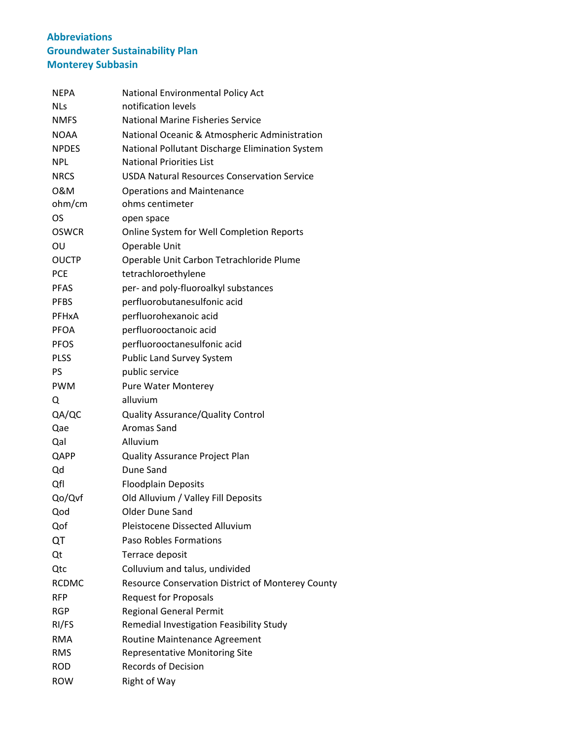| NEPA         | National Environmental Policy Act                        |
|--------------|----------------------------------------------------------|
| NLs          | notification levels                                      |
| <b>NMFS</b>  | <b>National Marine Fisheries Service</b>                 |
| <b>NOAA</b>  | National Oceanic & Atmospheric Administration            |
| <b>NPDES</b> | National Pollutant Discharge Elimination System          |
| NPL          | <b>National Priorities List</b>                          |
| <b>NRCS</b>  | <b>USDA Natural Resources Conservation Service</b>       |
| 0&M          | <b>Operations and Maintenance</b>                        |
| ohm/cm       | ohms centimeter                                          |
| OS           | open space                                               |
| <b>OSWCR</b> | Online System for Well Completion Reports                |
| OU           | Operable Unit                                            |
| <b>OUCTP</b> | Operable Unit Carbon Tetrachloride Plume                 |
| <b>PCE</b>   | tetrachloroethylene                                      |
| <b>PFAS</b>  | per- and poly-fluoroalkyl substances                     |
| <b>PFBS</b>  | perfluorobutanesulfonic acid                             |
| <b>PFHxA</b> | perfluorohexanoic acid                                   |
| <b>PFOA</b>  | perfluorooctanoic acid                                   |
| <b>PFOS</b>  | perfluorooctanesulfonic acid                             |
| <b>PLSS</b>  | <b>Public Land Survey System</b>                         |
| <b>PS</b>    | public service                                           |
| <b>PWM</b>   | Pure Water Monterey                                      |
| Q            | alluvium                                                 |
| QA/QC        | <b>Quality Assurance/Quality Control</b>                 |
| Qae          | Aromas Sand                                              |
| Qal          | Alluvium                                                 |
| QAPP         | Quality Assurance Project Plan                           |
| Qd           | Dune Sand                                                |
| Qfl          | <b>Floodplain Deposits</b>                               |
| Qo/Qvf       | Old Alluvium / Valley Fill Deposits                      |
| Qod          | <b>Older Dune Sand</b>                                   |
| Qof          | Pleistocene Dissected Alluvium                           |
| QT           | Paso Robles Formations                                   |
| Qt           | Terrace deposit                                          |
| Qtc          | Colluvium and talus, undivided                           |
| <b>RCDMC</b> | <b>Resource Conservation District of Monterey County</b> |
| <b>RFP</b>   | <b>Request for Proposals</b>                             |
| <b>RGP</b>   | <b>Regional General Permit</b>                           |
| RI/FS        | Remedial Investigation Feasibility Study                 |
| <b>RMA</b>   | Routine Maintenance Agreement                            |
| <b>RMS</b>   | <b>Representative Monitoring Site</b>                    |
| <b>ROD</b>   | <b>Records of Decision</b>                               |
| ROW          | <b>Right of Way</b>                                      |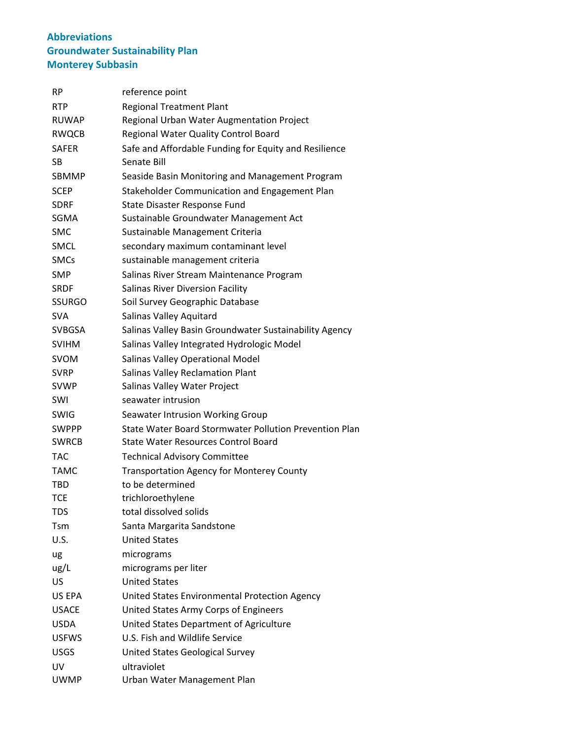| RP            | reference point                                        |
|---------------|--------------------------------------------------------|
| <b>RTP</b>    | <b>Regional Treatment Plant</b>                        |
| <b>RUWAP</b>  | Regional Urban Water Augmentation Project              |
| <b>RWQCB</b>  | Regional Water Quality Control Board                   |
| <b>SAFER</b>  | Safe and Affordable Funding for Equity and Resilience  |
| SB            | Senate Bill                                            |
| <b>SBMMP</b>  | Seaside Basin Monitoring and Management Program        |
| <b>SCEP</b>   | Stakeholder Communication and Engagement Plan          |
| <b>SDRF</b>   | State Disaster Response Fund                           |
| <b>SGMA</b>   | Sustainable Groundwater Management Act                 |
| <b>SMC</b>    | Sustainable Management Criteria                        |
| <b>SMCL</b>   | secondary maximum contaminant level                    |
| <b>SMCs</b>   | sustainable management criteria                        |
| <b>SMP</b>    | Salinas River Stream Maintenance Program               |
| <b>SRDF</b>   | <b>Salinas River Diversion Facility</b>                |
| <b>SSURGO</b> | Soil Survey Geographic Database                        |
| <b>SVA</b>    | Salinas Valley Aquitard                                |
| <b>SVBGSA</b> | Salinas Valley Basin Groundwater Sustainability Agency |
| <b>SVIHM</b>  | Salinas Valley Integrated Hydrologic Model             |
| <b>SVOM</b>   | Salinas Valley Operational Model                       |
| <b>SVRP</b>   | <b>Salinas Valley Reclamation Plant</b>                |
| <b>SVWP</b>   | Salinas Valley Water Project                           |
| SWI           | seawater intrusion                                     |
| <b>SWIG</b>   | Seawater Intrusion Working Group                       |
| <b>SWPPP</b>  | State Water Board Stormwater Pollution Prevention Plan |
| <b>SWRCB</b>  | <b>State Water Resources Control Board</b>             |
| <b>TAC</b>    | <b>Technical Advisory Committee</b>                    |
| <b>TAMC</b>   | <b>Transportation Agency for Monterey County</b>       |
| TBD           | to be determined                                       |
| <b>TCE</b>    | trichloroethylene                                      |
| TDS           | total dissolved solids                                 |
| Tsm           | Santa Margarita Sandstone                              |
| U.S.          | <b>United States</b>                                   |
| ug            | micrograms                                             |
| ug/L          | micrograms per liter                                   |
| US            | <b>United States</b>                                   |
| US EPA        | United States Environmental Protection Agency          |
| <b>USACE</b>  | United States Army Corps of Engineers                  |
| <b>USDA</b>   | United States Department of Agriculture                |
| <b>USFWS</b>  | U.S. Fish and Wildlife Service                         |
| <b>USGS</b>   | United States Geological Survey                        |
| UV            | ultraviolet                                            |
| <b>UWMP</b>   | Urban Water Management Plan                            |